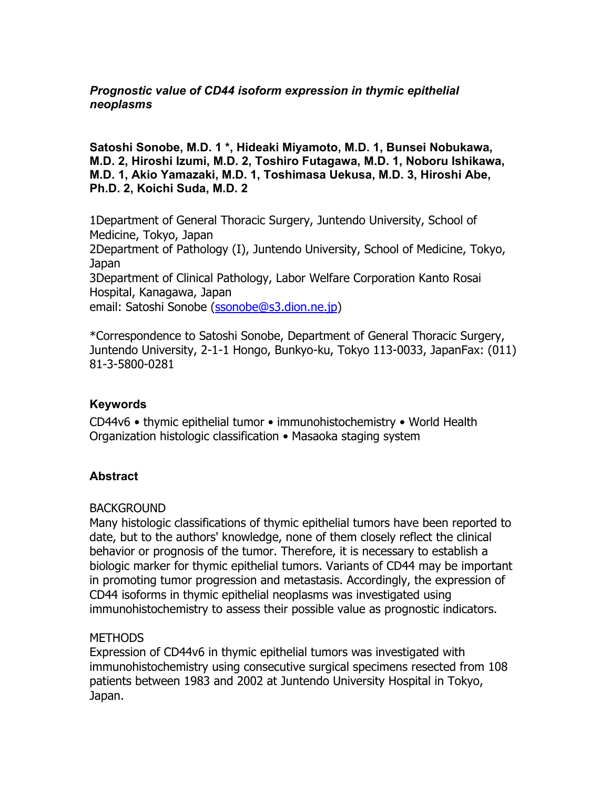## *Prognostic value of CD44 isoform expression in thymic epithelial neoplasms*

**Satoshi Sonobe, M.D. 1 \*, Hideaki Miyamoto, M.D. 1, Bunsei Nobukawa, M.D. 2, Hiroshi Izumi, M.D. 2, Toshiro Futagawa, M.D. 1, Noboru Ishikawa, M.D. 1, Akio Yamazaki, M.D. 1, Toshimasa Uekusa, M.D. 3, Hiroshi Abe, Ph.D. 2, Koichi Suda, M.D. 2** 

1Department of General Thoracic Surgery, Juntendo University, School of Medicine, Tokyo, Japan 2Department of Pathology (I), Juntendo University, School of Medicine, Tokyo, Japan 3Department of Clinical Pathology, Labor Welfare Corporation Kanto Rosai Hospital, Kanagawa, Japan email: Satoshi Sonobe (ssonobe@s3.dion.ne.jp)

\*Correspondence to Satoshi Sonobe, Department of General Thoracic Surgery, Juntendo University, 2-1-1 Hongo, Bunkyo-ku, Tokyo 113-0033, JapanFax: (011) 81-3-5800-0281

#### **Keywords**

CD44v6 • thymic epithelial tumor • immunohistochemistry • World Health Organization histologic classification • Masaoka staging system

# **Abstract**

#### **BACKGROUND**

Many histologic classifications of thymic epithelial tumors have been reported to date, but to the authors' knowledge, none of them closely reflect the clinical behavior or prognosis of the tumor. Therefore, it is necessary to establish a biologic marker for thymic epithelial tumors. Variants of CD44 may be important in promoting tumor progression and metastasis. Accordingly, the expression of CD44 isoforms in thymic epithelial neoplasms was investigated using immunohistochemistry to assess their possible value as prognostic indicators.

#### METHODS

Expression of CD44v6 in thymic epithelial tumors was investigated with immunohistochemistry using consecutive surgical specimens resected from 108 patients between 1983 and 2002 at Juntendo University Hospital in Tokyo, Japan.